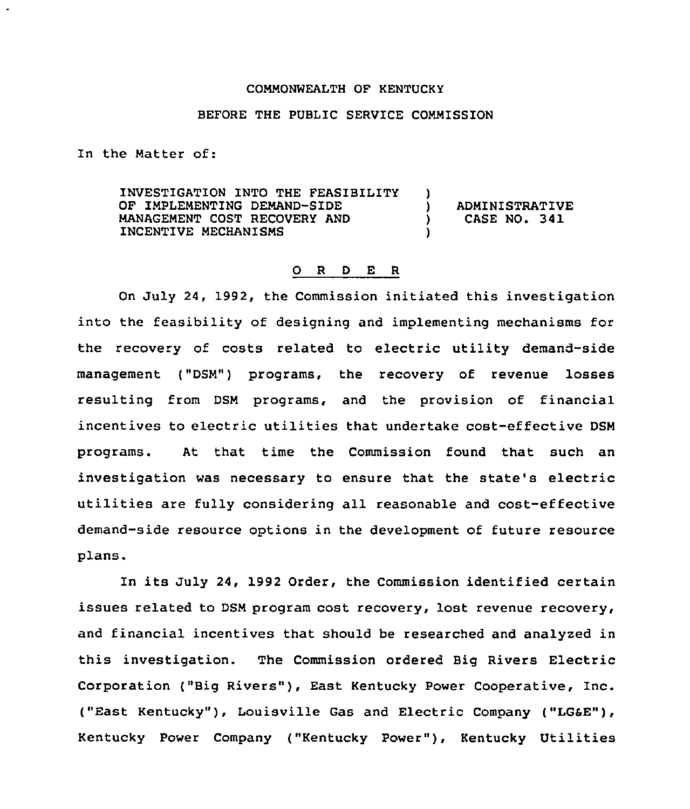## COMMONWEALTH OF KENTUCKY

## BEFORE THE PUBLIC SERVICE COMMISSION

In the Matter of:

INVESTIGATION INTO THE FEASIBILITY OF IMPLEMENTING DEMAND-SIDE MANAGEMENT COST RECOVERY AND INCENTIVE MECHANISMS ) ) ADMINISTRATIVE<br>) CASE NO. 341 ) CASE NO. 341 )

## 0 <sup>R</sup> <sup>D</sup> E R

On July 24, 1992, the Commission initiated this investigation into the feasibility of designing and implementing mechanisms for the recovery of costs related to electric utility demand-side management ("DSM") programs, the recovery of revenue losses resulting from DSM programs, and the provision of financial incentives to electric utilities that undertake cost-effective DSM programs. At that time the Commission found that such an investigation was necessary to ensure that the state's electric utilities are fully considering all reasonable and cost-effective demand-side resource options in the development of future resource plans.

In its July 24, 1992 Order, the Commission identified certain issues related to DSM program cost recovery, lost revenue recovery, and financial incentives that should be researched and analyzed in this investigation. The Commission ordered Big Rivers Electric Corporation ("Big Rivers"), East Kentucky Power Cooperative, Inc. ("East Kentucky" ), Louisville Gas and Electric Company ("LG6E"), Kentucky Power Company ("Kentucky Power" ), Kentucky Utilities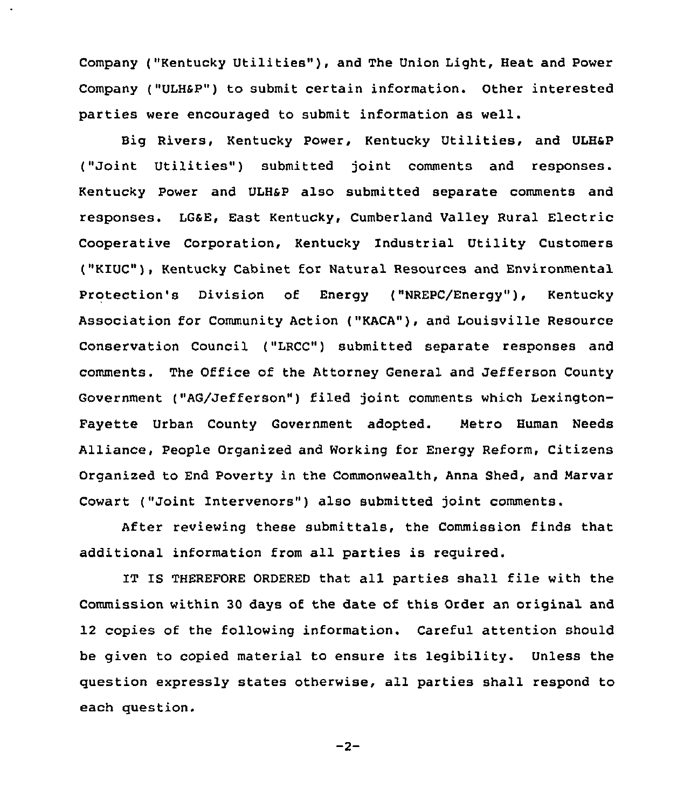Company ("Kentucky Utilities" ), and The Union Light, Heat and Power Company ("ULHSP") to submit certain information. Other interested parties were encouraged to submit information as well.

Big Rivers, Kentucky Power, Kentucky Utilities, and ULH6P ("Joint Utilities" ) submitted joint comments and responses. Kentucky Power and ULHsP also submitted separate comments and responses. LGSE, East Kentucky, Cumberland Valley Rural Electric Cooperative Corporation, Kentucky Industrial Utility Customers ("KIUC"), Kentucky Cabinet for Natural Resources and Environmental Protection's Division of Energy ("NREPC/Energy"), Kentucky Association for Community Action ("KACA"), and Louisville Resource Conservation Council ("LRCC") submitted separate responses and comments. The Office of the Attorney General and Jefferson County Government ("AG/Jefferson") filed joint comments which Lexington-Fayette Urban County Government adopted. Metro Human Needs Alliance, People Organized and Working for Energy Reform, Citizens Organized to End Poverty in the Commonwealth, Anna Shed, and Marvar Cowart ("Joint Intervenors") also submitted joint comments.

After reviewing these submittals, the Commission finds that additional information from all parties is required.

IT IS THEREFORE ORDERED that all parties shall file with the Commission within 30 days of the date of this Order an original and 12 copies of the following information. Careful attention should be given to copied material to ensure its legibility. Unless the question expressly states otherwise, all parties shall respond to each question.

 $-2-$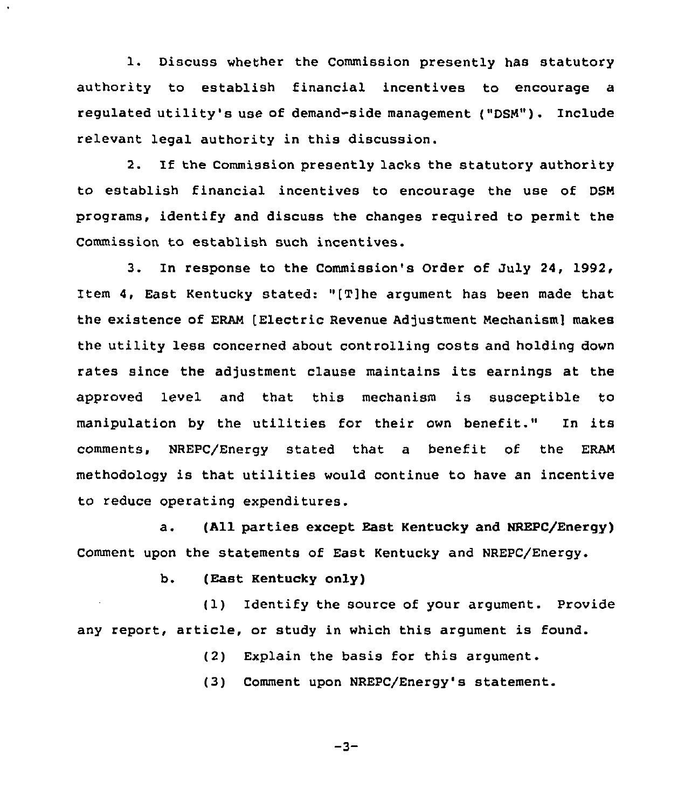1. Discuss whether the Commission presently has statutory authority to establish financial incentives to encourage a regulated utility's use of demand-side management ("DSN"). Include relevant legal authority in this discussion.

2. If the Commission presently lacks the statutory authority to establish financial incentives to encourage the use of DSN programs, identify and discuss the changes reguired to permit the Commission to establish such incentives.

3. In response to the Commission's Order of July 24, 1992, Item 4, East Kentucky stated: v(T]he argument has been made that the existence of ERAN [Electric Revenue Adjustment Nechanism] makes the utility less concerned about controlling costs and holding down rates since the adjustment clause maintains its earnings at the approved level and that this mechanism is susceptible to manipulation by the utilities for their own benefit." In its comments, NREPC/Energy stated that a benefit of the ERAN methodology is that utilities would continue to have an incentive to reduce operating expenditures.

a. (All parties except East Kentucky and HREPC/Energy) Comment upon the statements of East Kentucky and NREPC/Energy.

b. (East Kentucky only)

(1) Identify the source of your argument. Provide any report, article, or study in which this argument is found.

(2) Explain the basis for this argument.

(3) Comment upon NREPC/Energy's statement.

 $-3-$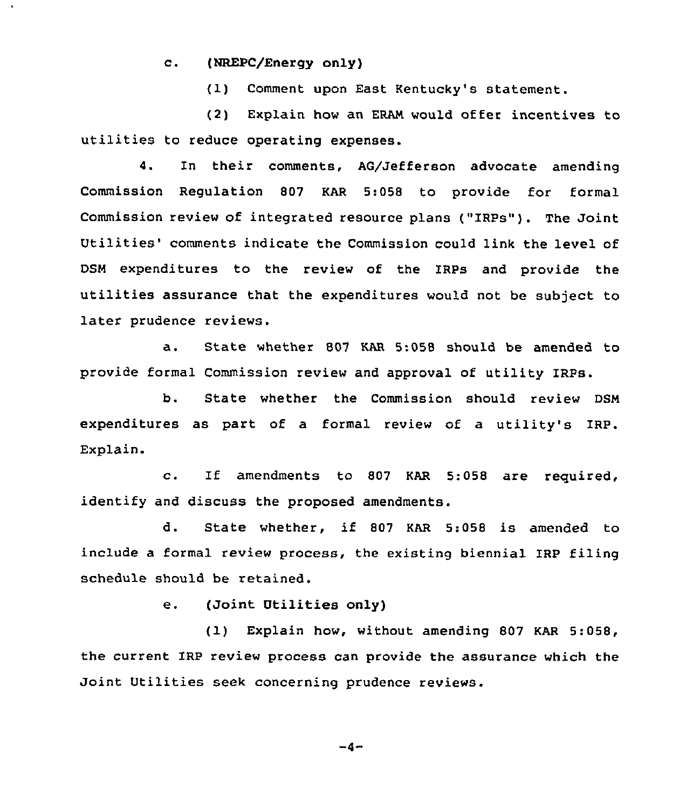c. (NREPC/Energy only)

(1) Comment upon East Kentucky's statement.

(2) Explain how an ERAN would offer incentives to utilities to reduce operating expenses.

4. In their comments, AG/Jefferson advocate amending Commission Regulation 807 KAR 5:058 to provide for formal Commission review of integrated resource plans ("IRPs"). The Joint Utilities' comments indicate the Commission could link the level of DSN expenditures to the review of the IRPs and provide the utilities assurance that the expenditures would not be subject to later prudence reviews.

a. State whether <sup>807</sup> KAR 5:058 should be amended to provide formal Commission review and approval of utility IRPs.

b. State whether the Commission should review DSN expenditures as part of a formal review of a utility's IRP. Explain.

c. If amendments to <sup>807</sup> KAR 5:058 are required, identify and discuss the proposed amendments.

d. State whether, if <sup>807</sup> KAR 5:058 is amended to include a formal review process, the existing biennial IRP filing schedule should be retained.

e. (Joint Utilities only)

(1) Explain how, without amending 807 KAR 5:058, the current IRP review process can provide the assurance which the Joint Utilities seek concerning prudence reviews.

 $-4-$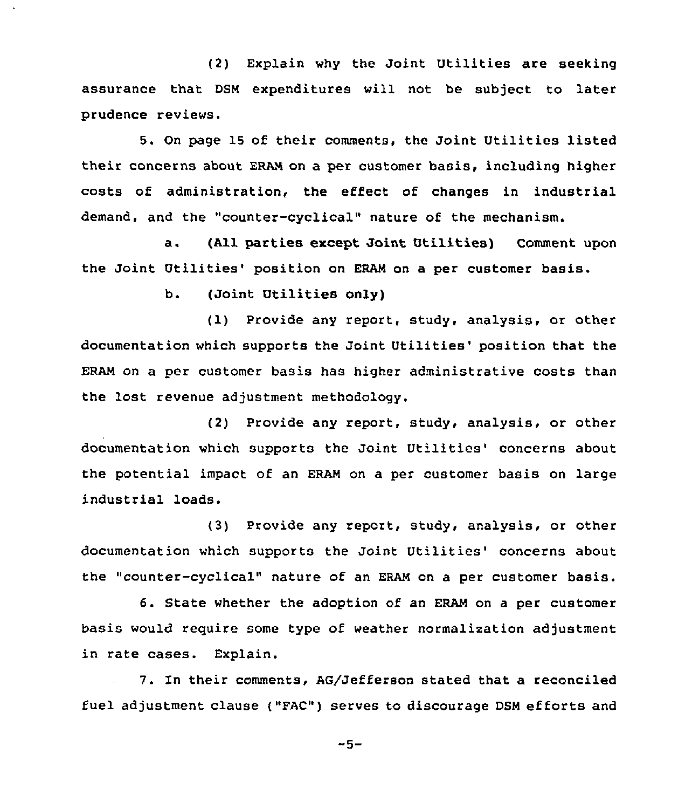(2) Explain why the Joint Utilities are seeking assurance that DSM expenditures vill not be subject to later prudence reviews.

5. On page 15 of their comments, the Joint Utilities listed their concerns about ERAN on a per customer basis, including higher costs of administration, the effect of changes in industrial demand, and the "counter-cyclical" nature of the mechanism.

a. (All parties except Joint Utilities) Comment upon the Joint Utilities' position on ERAM on a per customer basis.

b. (Joint Utilities only)

(1) Provide any report, study, analysis, or other documentation which supports the Joint Utilities' position that the ERAN on a per customer basis has higher administrative costs than the lost revenue adjustment methodology.

(2) Provide any report, study, analysis, or other documentation which supports the Joint Utilities'oncerns about the potential impact of an ERAM on a per customer basis on large industrial loads.

(3) Provide any report, study, analysis, or other documentation which supports the Joint Utilities' concerns about the "counter-cyclical" nature of an ERAM on a per customer basis.

6. State whether the adoption of an ERAN on a per customer basis would reguire some type of weather normalization adjustment in rate cases. Explain.

7. In their comments, AG/Jefferson stated that a reconciled fuel adjustment clause ("FAC") serves to discourage DSN efforts and

 $-5-$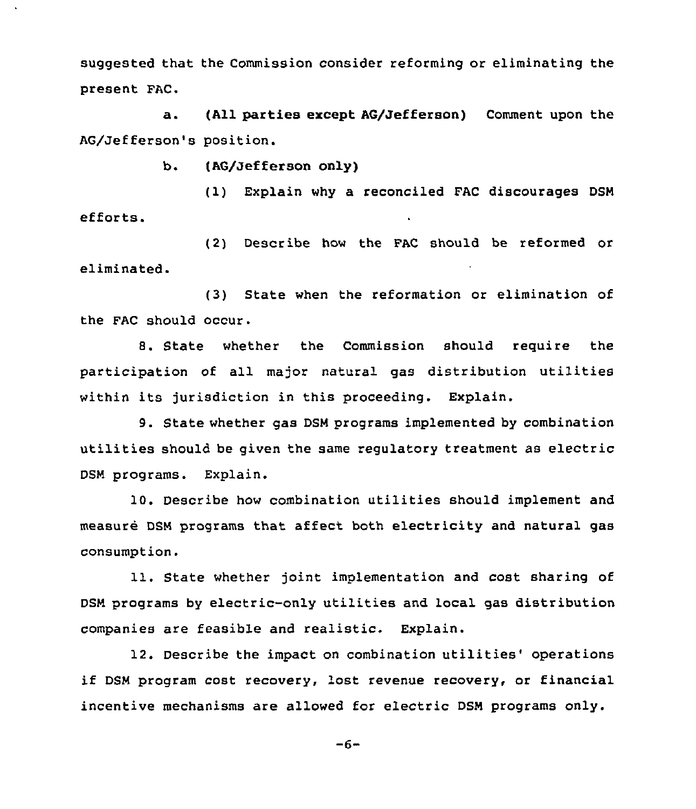suggested that the Commission consider reforming or eliminating the present FAC.

a. (All parties except AG/Jefferson) Comment upon the AG/Jefferson's position.

b. (AG/Jefferson only)

(1) Explain why a reconciled FAC discourages DSM efforts.

(2) Describe how the FAC should be reformed or eliminated.

(3) State when the reformation or elimination of the FAC should occur.

8. State whether the Commission should require the participation of all major natural gas distribution utilities within its jurisdiction in this proceeding. Explain.

9. State whether gas DSM programs implemented by combination utilities should be given the same regulatory treatment as electric DSM programs. Explain.

10. Describe how combination utilities should implement and measure DSM programs that affect both electricity and natural gas consumption.

11. State whether joint implementation and cost sharing of DSM programs by electric-only utilities and local gas distribution companies are feasible and realistic. Explain.

12. Describe the impact on combination utilities' operations if DSM program cost recovery, lost revenue recovery, or financial incentive mechanisms are allowed for electric DSM programs only.

 $-6-$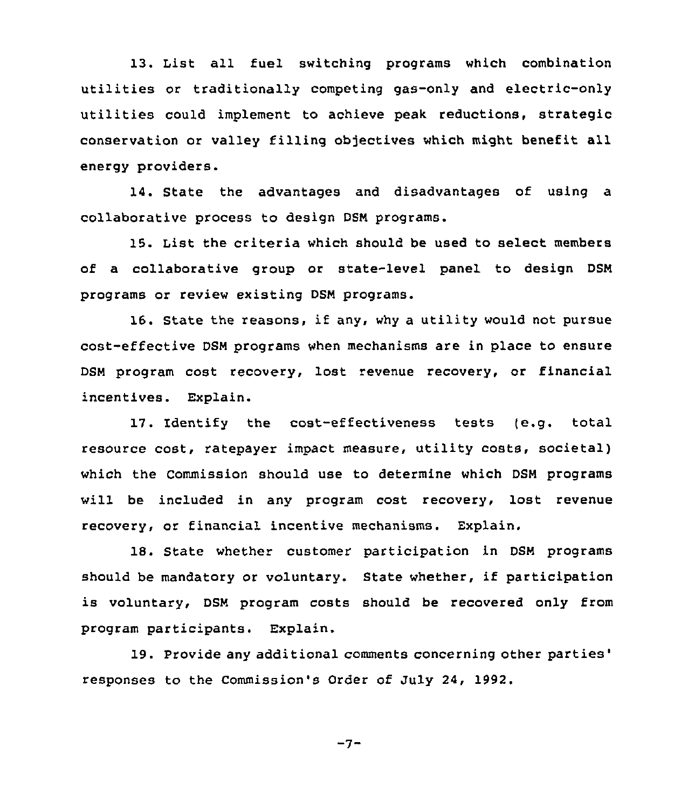13. List all fuel switching programs which combination utilities or traditionally competing gas-only and electric-only utilities could implement to achieve peak reductions, strategic conservation or valley filling objectives which might benefit all energy providers.

14. State the advantages and disadvantages of using a collaborative process to design DSM programs.

15. List the criteria which should be used to select members of a collaborative group or state-level panel to design DSN programs or review existing DSN programs.

16. State the reasons, if any, why <sup>a</sup> utility would not pursue cost-effective DSN programs when mechanisms are in place to ensure DSN program cost recovery, lost revenue recovery, cr financial incentives. Explain.

17. Identify the cost-effectiveness tests (e.g. total resource cost, ratepayer impact measure, utility costs, societal) which the Commission should use to determine which DSN programs will be included in any program cost recovery, lost revenue recovery, or financial incentive mechanisms. Explain.

18. State whether customer participation in DSN programs should be mandatory or voluntary. State whether, if participation is voluntary, DSN program costs should be recovered only from program participants. Explain.

19. Provide any additional comments concerning other parties' responses to the Commission's Order of July 24, 1992.

 $-7-$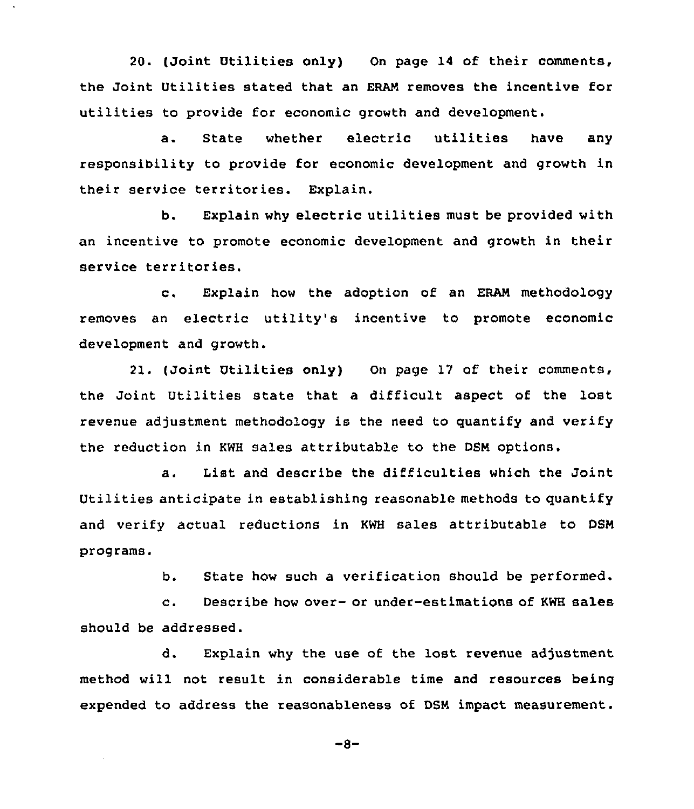20. (Joint Utilities only) On page 14 of their comments, the Joint Utilities stated that an ERAN removes the incentive for utilities to provide for economic growth and development.

a. State whether electric utilities have any responsibility to provide for economic development and growth in their service territories. Explain.

b. Explain why electric utilities must be provided with an incentive to promote economic development and growth in their service territories.

c. Explain how the adoption of an ERAN methodology removes an electric utility's incentive to promote economic development and growth.

21. (Joint Utilities only) On page 17 of their comments, the Joint Utilities state that a difficult aspect of the lost revenue adjustment methodology is the need to quantify and verify the reduction in KWH sales attributable to the DSN options.

a. List and describe the difficulties which the Joint Utilities anticipate in establishing reasonable methods to quantify and verify actual reductions in KWH sales attributable to DSN programs.

b. State how such a verification should be performed.

c. Describe how over- or under-estimations of KWH sales should be addressed.

d. Explain why the use of the lost revenue adjustment method will not result in considerable time and resources being expended to address the reasonableness of DSN impact measurement.

 $-8-$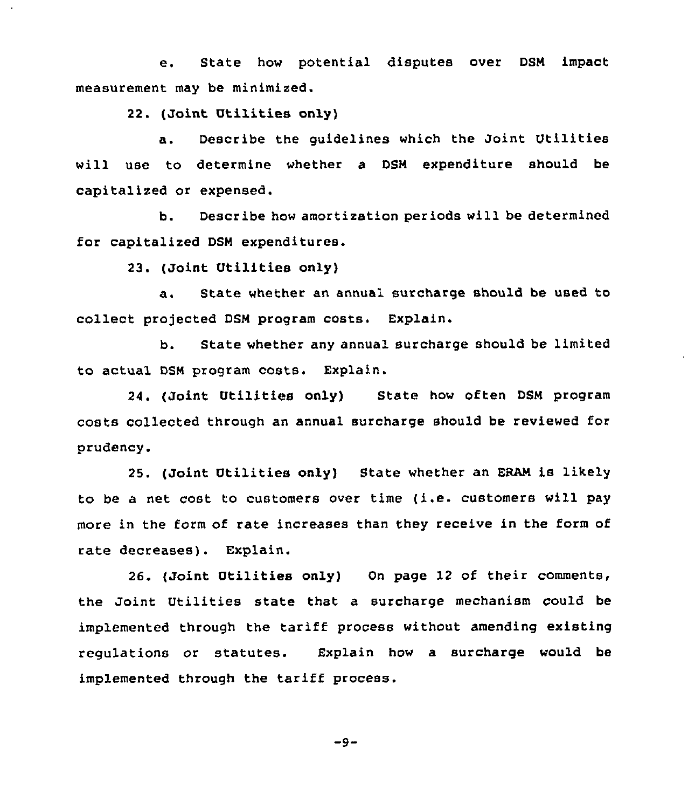e. State how potential disputes over DSN impact measurement may be minimized.

22. (Joint Utilities only)

a. Describe the guidelines which the Joint Utilities will use to determine whether a DSN expenditure should be capitalized or expensed.

b. Describe how amortization periods will be determined for capitalized DSN expenditures.

23. (Joint Utilities only)

a. State whether an annual surcharge should be used to collect projected DSM program costs. Explain.

b. State whether any annual surcharge should be limited to actual DSN program costs. Explain.

24. (Joint Utilities only) State how often DSN program costs collected through an annual surcharge should be reviewed for prudency.

25. (Joint Utilities only) State whether an ERAN is likely to be <sup>a</sup> net cost to customers over time (i.e. customers will pay more in the form of rate increases than they receive in the form of rate decreases). Explain.

26. (Joint Utilities only) On page 12 of their comments, the Joint Utilities state that a surcharge mechanism could be implemented through the tariff process without amending existing regulations or statutes. Explain how a surcharge would be implemented through the tariff process.

 $-9-$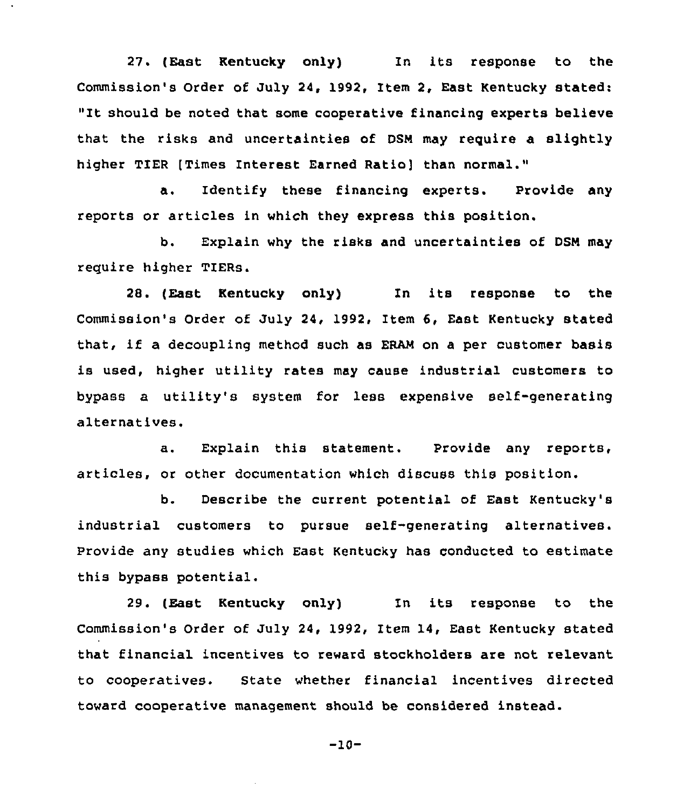27. (East Kentucky only) In its response to the Commission's Order of July 24, 1992, Item 2, East Kentucky stated: "It should be noted that some cooperative financing experts believe that the risks and uncertainties of DSM may require a slightly higher TIER [Times Interest Earned Ratio] than normal."

a. Identify these financing experts. Provide any reports or articles in which they express this position.

b. Explain why the risks and uncertainties of DSN may require higher TIERs.

28. (East Kentucky only) In its response to the Commission's Order of July 24, 1992, Item 6, East Kentucky stated that, if a decoupling method such as ERAM on a per customer basis is used, higher utility rates may cause industrial customers to bypass a utility's system for less expensive self-generating alternatives.

a. Explain this statement. Provide any reports, articles, or other documentation which discuss this position.

b. Describe the current potential of East Kentucky'B industrial customers to pursue self-generating alternatives. Provide any studies which East Kentucky has conducted to estimate this bypass potential.

29. (East Kentucky only) In its response to the Commission's Order of July 24, 1992, Item 14, East Kentucky stated that financial incentives to reward stockholders are not relevant to cooperatives. State whether financial incentives directed toward cooperative management should be considered instead.

$$
-10-
$$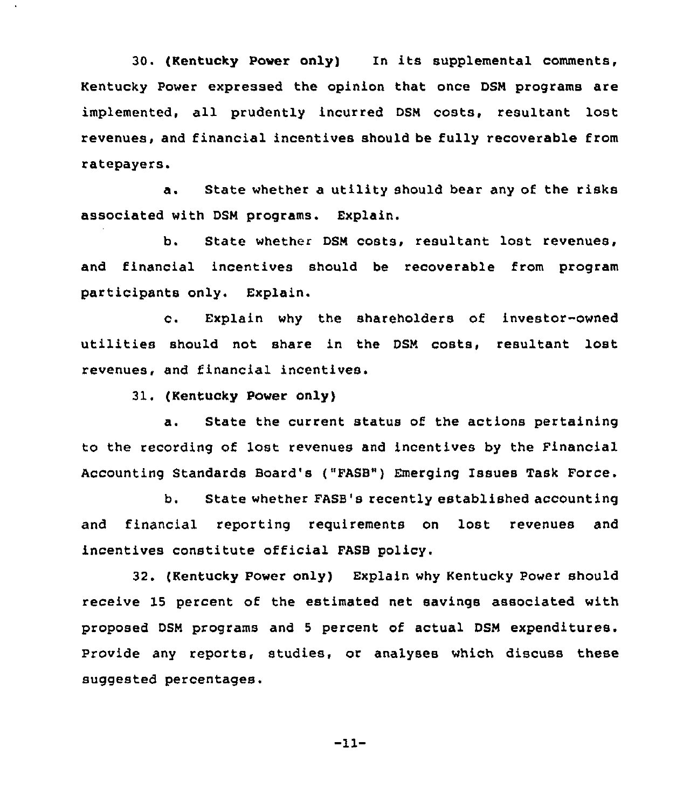30. (Kentucky Power only) In its supplemental comments, Kentucky Power expressed the opinion that once DSM programs are implemented, all prudently incurred DSM costs, resultant lost revenues, and financial incentives should be fully recoverable from ratepayers.

a. State whether a utility should bear any of the risks associated with DSM programs. Explain.

b. State whether DSM costs, resultant lost revenues, and financial incentives should be recoverable from program participants only. Explain.

c. Explain why the shareholders of investor-owned utilities should not share in the DSM costs, resultant lost revenues, and financial incentives.

31. (Kentucky Power only)

a. State the current status of the actions pertaining to the recording of lost revenues and incentives by the Financial Accounting Standards Board's ("FASB") Emerging Issues Task Force.

b. State whether FASB's recently established accounting and financial reporting requirements on lost revenues and incentives constitute official FASB policy.

32. (Kentucky Power only) Explain why Kentucky Power should receive 15 percent of the estimated net savings associated with proposed DSM programs and <sup>5</sup> percent of actual DSM expenditures. Provide any reports, studies, or analyses which discuss these suggested percentages.

-11-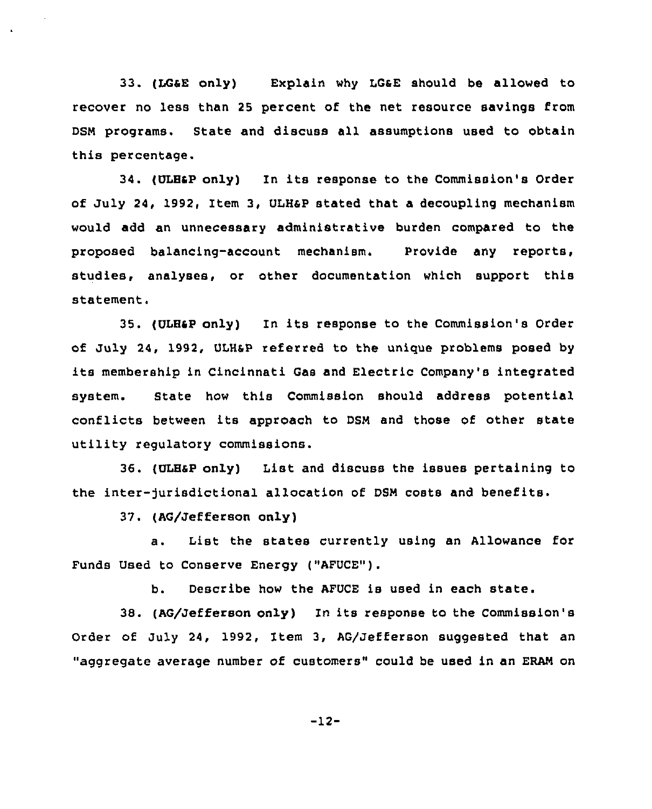33. (LGaE only) Explain why LGsE should be allowed to recover no less than 25 percent of the net resource savings from DSN programs. State and discuss all assumptions used to obtain this percentage.

34. (ULHap only) In its response to the Commission's Order of July 24, 1992, Item 3, ULH4P stated that a decoupling mechanism would add an unnecessary administrative burden compared to the proposed balancing-account mechanism. Provide any reports, studies, analyses, or other documentation which support this statement.

35. (ULHSP only) In its response to the Commission's Order of July 24, 1992, ULHap referred to the unique problems posed by its membership in Cincinnati Gas and Electric Company's integrated system. State how this Commission should address potential conflicts between its approach to DSN and those of other state utility regulatory commissions.

36. (ULHsp only) List and discuss the issues pertaining to the inter-)urisdictional allocation of DSN costs and benefits.

37. (AG/Jefferson only)

a. List the states currently using an Allowance for Funds Used to Conserve Energy ("AFUCE").

b, Describe how the AFUCE is used in each state.

38. (AG/Jefferson only) In its response to the Commission's Order of July 24, 1992, Item 3, AG/Jefferson suggested that an "aggregate average number of customers" could be used in an ERAN on

-12-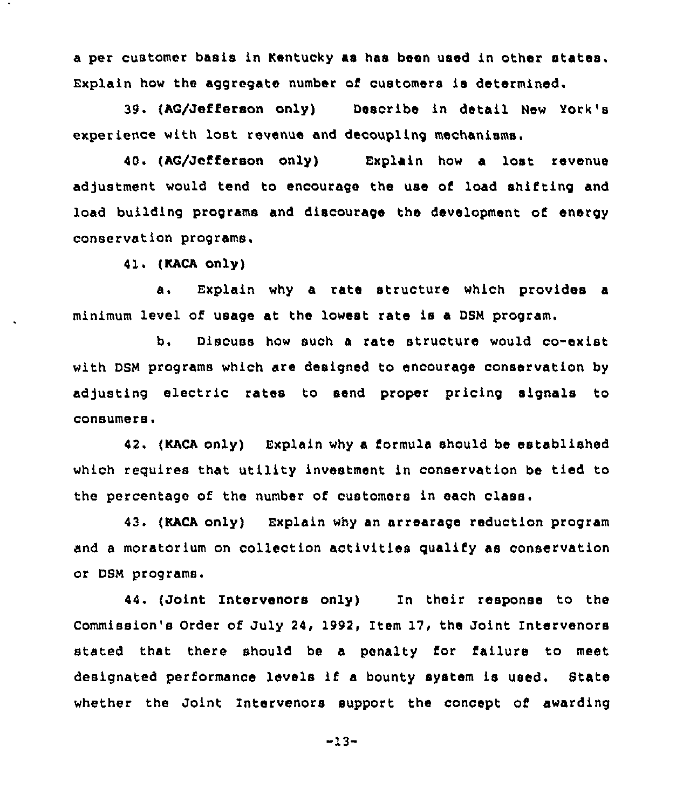a per customer basis in Kentucky as has been used in other states. Explain how the aggregate number of customers is determined.

39. (AG/Jefferson only) Describe in detail New York' experience with lost revenue and decoupling mechanisms.

40 'AG/Jefferson only) Explain how a lost revenue adjustment would tend to encourage the use of load shifting and load building programs and discourage the development of energy conservation programs,

41. {KACA only)

a. Explain why a rate structure which provides <sup>a</sup> minimum level of usage at the lowest rate is a DSM program.

b. Discuss how such a rate structure would co-exist with DSM programs which are designed to encourage conservation by adjusting electric rates to send proper pricing signals to consumers.

42. (KACA only) Explain why a formula should be established which reguires that utility investment in conservation be tied to the percentage of the number of customers in each class.

43. (KACA only) Explain why an arrearage reduction program and a moratorium on collection activities qualify as conservation or DSM programs.

44. (Joint Intervenors only) In their response to the Commission's Order of July 24, 1992, Item 17, the Joint Intervenors stated that there should be a penalty for failure to meet designated performance levels if <sup>a</sup> bounty system is used. State whether the Joint Intervenors support the concept of awarding

-13-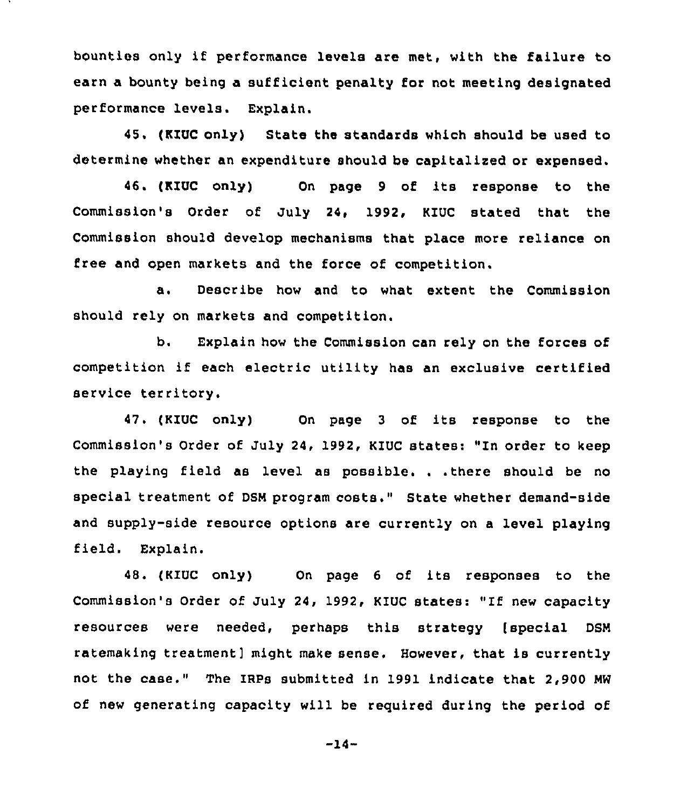bounties only if performance levels are met, with the failure to earn a bounty being a sufficient penalty for not meeting designated performance levels. Explain.

45. (KIUC only) State the standards which should be used to determine whether an expenditure should be capitalised or expensed.

46. (KIUC only) On page <sup>9</sup> of its response to the Commission's Order of July 24, 1992, KIUC stated that the Commission should develop mechanisms that place more reliance on free and open markets and the force of competition.

a. Describe how and to what extent the Commission should rely on markets and competition.

b. Explain how the Commission can rely on the forces of competition if each electric utility has an exclusive certified service territory.

47. (KIUC only) On page <sup>3</sup> of its response to the Commission's Order of July 24, 1992, KIUC states: "In order to keep the playing field as level as possible. . .there should be no special treatment of DSN program costs." State whether demand-side and supply-side resource options are currently on a level playing field. Explain.

48. {KIUC only) On page <sup>6</sup> of its responses to the Commission's Order of July 24, 1992, KIUC states: "If new capacity resources were needed, perhaps this strategy [special DSN ratemaking treatment] might make sense. However, that is currently not the case." The IRPs submitted in 1991 indicate that 2,900 NW of new generating capacity will be required during the period of

-14-